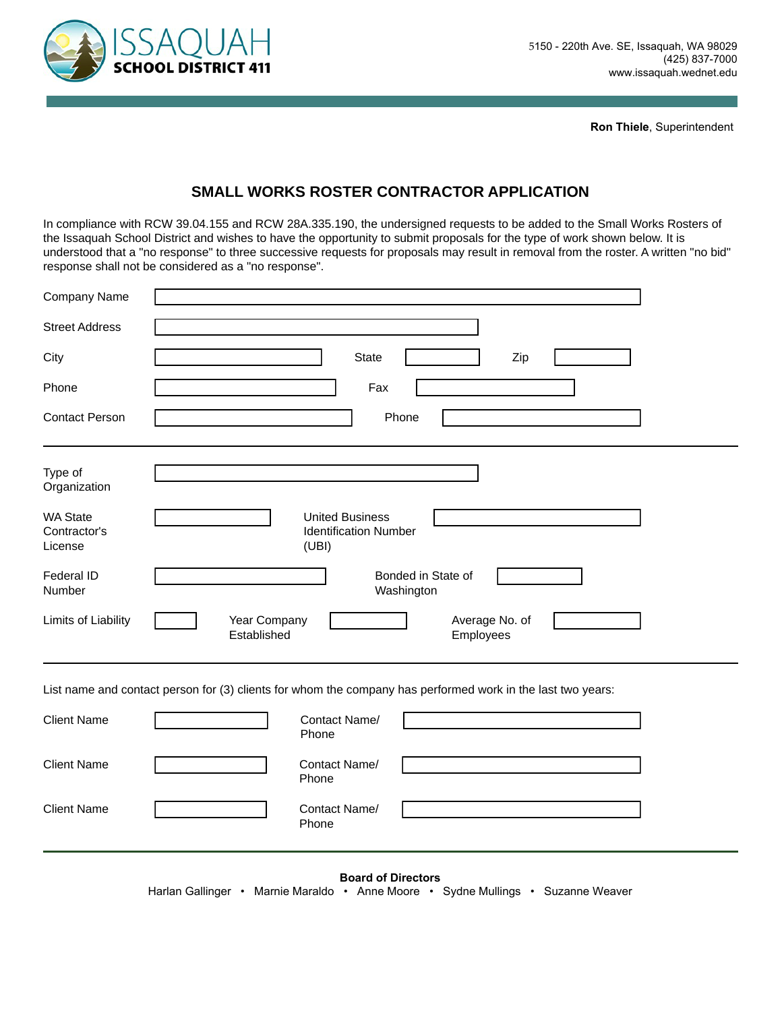

**Ron Thiele, Superintendent** 

## **SMALL WORKS ROSTER CONTRACTOR APPLICATION**

In compliance with RCW 39.04.155 and RCW 28A.335.190, the undersigned requests to be added to the Small Works Rosters of the Issaquah School District and wishes to have the opportunity to submit proposals for the type of work shown below. It is understood that a "no response" to three successive requests for proposals may result in removal from the roster. A written "no bid" response shall not be considered as a "no response".

| Company Name                               |                                                                                                             |
|--------------------------------------------|-------------------------------------------------------------------------------------------------------------|
| <b>Street Address</b>                      |                                                                                                             |
| City                                       | Zip<br><b>State</b>                                                                                         |
| Phone                                      | Fax                                                                                                         |
| <b>Contact Person</b>                      | Phone                                                                                                       |
| Type of<br>Organization                    | $\vert \textbf{v} \vert$                                                                                    |
| <b>WA State</b><br>Contractor's<br>License | <b>United Business</b><br><b>Identification Number</b><br>(UBI)                                             |
| Federal ID<br>Number                       | Bonded in State of<br>$\blacktriangledown$<br>Washington                                                    |
| Limits of Liability                        | Average No. of<br>Year Company<br>Established<br>Employees                                                  |
|                                            | List name and contact person for (3) clients for whom the company has performed work in the last two years: |
| <b>Client Name</b>                         | Contact Name/<br>Phone                                                                                      |
| <b>Client Name</b>                         | Contact Name/<br>Phone                                                                                      |
| <b>Client Name</b>                         | Contact Name/<br>Phone                                                                                      |
|                                            |                                                                                                             |